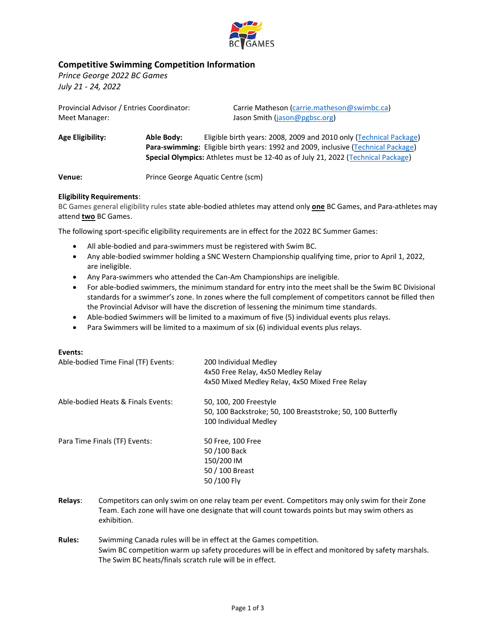

## **Competitive Swimming Competition Information**

*Prince George 2022 BC Games July 21 - 24, 2022*

| Provincial Advisor / Entries Coordinator:<br>Meet Manager: |                                    | Carrie Matheson (carrie.matheson@swimbc.ca)<br>Jason Smith (jason@pgbsc.org)                                                                                                                                                                |  |  |  |  |
|------------------------------------------------------------|------------------------------------|---------------------------------------------------------------------------------------------------------------------------------------------------------------------------------------------------------------------------------------------|--|--|--|--|
| Able Body:<br><b>Age Eligibility:</b>                      |                                    | Eligible birth years: 2008, 2009 and 2010 only (Technical Package)<br>Para-swimming: Eligible birth years: 1992 and 2009, inclusive (Technical Package)<br>Special Olympics: Athletes must be 12-40 as of July 21, 2022 (Technical Package) |  |  |  |  |
| Venue:                                                     | Prince George Aquatic Centre (scm) |                                                                                                                                                                                                                                             |  |  |  |  |

#### **Eligibility Requirements**:

BC Games general eligibility rules state able-bodied athletes may attend only **one** BC Games, and Para-athletes may attend **two** BC Games.

The following sport-specific eligibility requirements are in effect for the 2022 BC Summer Games:

- All able-bodied and para-swimmers must be registered with Swim BC.
- Any able-bodied swimmer holding a SNC Western Championship qualifying time, prior to April 1, 2022, are ineligible.
- Any Para-swimmers who attended the Can-Am Championships are ineligible.
- For able-bodied swimmers, the minimum standard for entry into the meet shall be the Swim BC Divisional standards for a swimmer's zone. In zones where the full complement of competitors cannot be filled then the Provincial Advisor will have the discretion of lessening the minimum time standards.
- Able-bodied Swimmers will be limited to a maximum of five (5) individual events plus relays.
- Para Swimmers will be limited to a maximum of six (6) individual events plus relays.

#### **Events:**

| Able-bodied Time Final (TF) Events: | 200 Individual Medley<br>4x50 Free Relay, 4x50 Medley Relay<br>4x50 Mixed Medley Relay, 4x50 Mixed Free Relay  |
|-------------------------------------|----------------------------------------------------------------------------------------------------------------|
| Able-bodied Heats & Finals Events:  | 50, 100, 200 Freestyle<br>50, 100 Backstroke; 50, 100 Breaststroke; 50, 100 Butterfly<br>100 Individual Medley |
| Para Time Finals (TF) Events:       | 50 Free, 100 Free<br>50/100 Back<br>150/200 IM<br>50 / 100 Breast<br>50/100 Fly                                |

- **Relays**: Competitors can only swim on one relay team per event. Competitors may only swim for their Zone Team. Each zone will have one designate that will count towards points but may swim others as exhibition.
- **Rules:** Swimming Canada rules will be in effect at the Games competition. Swim BC competition warm up safety procedures will be in effect and monitored by safety marshals. The Swim BC heats/finals scratch rule will be in effect.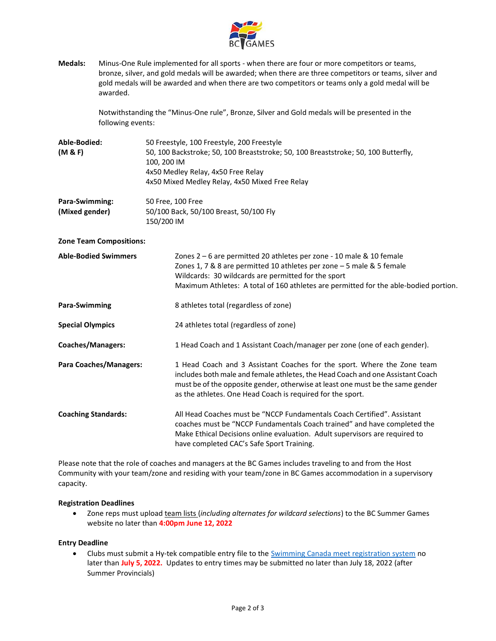

**Medals:** Minus-One Rule implemented for all sports - when there are four or more competitors or teams, bronze, silver, and gold medals will be awarded; when there are three competitors or teams, silver and gold medals will be awarded and when there are two competitors or teams only a gold medal will be awarded.

> Notwithstanding the "Minus-One rule", Bronze, Silver and Gold medals will be presented in the following events:

| Able-Bodied:<br>(M & F)          | 50 Freestyle, 100 Freestyle, 200 Freestyle<br>50, 100 Backstroke; 50, 100 Breaststroke; 50, 100 Breaststroke; 50, 100 Butterfly,<br>100, 200 IM<br>4x50 Medley Relay, 4x50 Free Relay<br>4x50 Mixed Medley Relay, 4x50 Mixed Free Relay |
|----------------------------------|-----------------------------------------------------------------------------------------------------------------------------------------------------------------------------------------------------------------------------------------|
| Para-Swimming:<br>(Mixed gender) | 50 Free, 100 Free<br>50/100 Back, 50/100 Breast, 50/100 Fly<br>150/200 IM                                                                                                                                                               |

**Zone Team Compositions:**

| Able-Bodied Swimmers     | Zones $2 - 6$ are permitted 20 athletes per zone - 10 male & 10 female<br>Zones 1, 7 & 8 are permitted 10 athletes per zone $-5$ male & 5 female<br>Wildcards: 30 wildcards are permitted for the sport<br>Maximum Athletes: A total of 160 athletes are permitted for the able-bodied portion. |
|--------------------------|-------------------------------------------------------------------------------------------------------------------------------------------------------------------------------------------------------------------------------------------------------------------------------------------------|
| Para-Swimming            | 8 athletes total (regardless of zone)                                                                                                                                                                                                                                                           |
| <b>Special Olympics</b>  | 24 athletes total (regardless of zone)                                                                                                                                                                                                                                                          |
| <b>Coaches/Managers:</b> | 1 Head Coach and 1 Assistant Coach/manager per zone (one of each gender).                                                                                                                                                                                                                       |

| Para Coaches/Managers: | 1 Head Coach and 3 Assistant Coaches for the sport. Where the Zone team        |
|------------------------|--------------------------------------------------------------------------------|
|                        | includes both male and female athletes, the Head Coach and one Assistant Coach |
|                        | must be of the opposite gender, otherwise at least one must be the same gender |
|                        | as the athletes. One Head Coach is required for the sport.                     |
|                        |                                                                                |

**Coaching Standards:** All Head Coaches must be "NCCP Fundamentals Coach Certified". Assistant coaches must be "NCCP Fundamentals Coach trained" and have completed the Make Ethical Decisions online evaluation. Adult supervisors are required to have completed CAC's Safe Sport Training.

Please note that the role of coaches and managers at the BC Games includes traveling to and from the Host Community with your team/zone and residing with your team/zone in BC Games accommodation in a supervisory capacity.

#### **Registration Deadlines**

• Zone reps must upload team lists (*including alternates for wildcard selections*) to the BC Summer Games website no later than **4:00pm June 12, 2022**

### **Entry Deadline**

• Clubs must submit a Hy-tek compatible entry file to th[e Swimming Canada meet registration system](https://registration.swimming.ca/MeetInfo.aspx?meetid=15771) [no](https://registration.swimming.ca/MeetInfo.aspx?meetid=15771) later than **[July 5, 2022.](https://registration.swimming.ca/MeetInfo.aspx?meetid=15771)** Updates to entry times may be submitted no later than July 18, 2022 (after Summer Provincials)